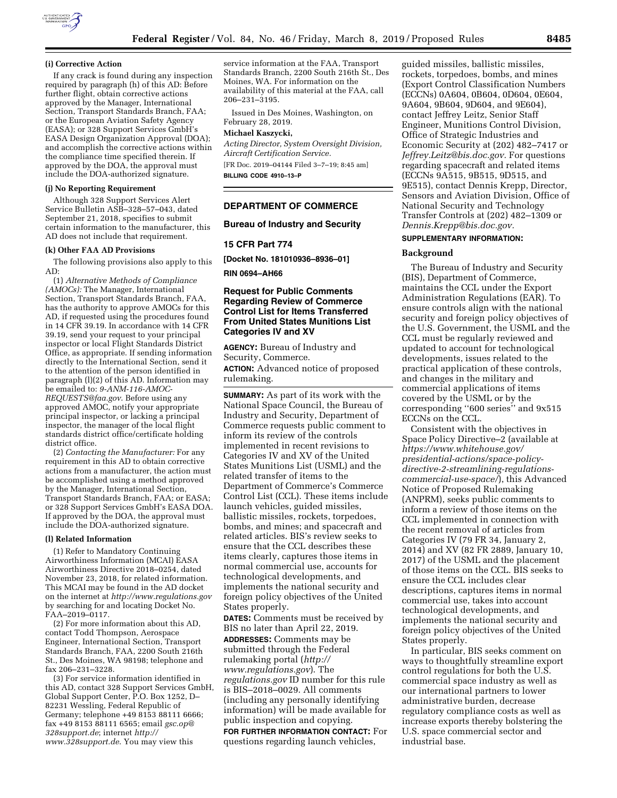

#### **(i) Corrective Action**

If any crack is found during any inspection required by paragraph (h) of this AD: Before further flight, obtain corrective actions approved by the Manager, International Section, Transport Standards Branch, FAA; or the European Aviation Safety Agency (EASA); or 328 Support Services GmbH's EASA Design Organization Approval (DOA); and accomplish the corrective actions within the compliance time specified therein. If approved by the DOA, the approval must include the DOA-authorized signature.

#### **(j) No Reporting Requirement**

Although 328 Support Services Alert Service Bulletin ASB–328–57–043, dated September 21, 2018, specifies to submit certain information to the manufacturer, this AD does not include that requirement.

# **(k) Other FAA AD Provisions**

The following provisions also apply to this AD:

(1) *Alternative Methods of Compliance (AMOCs):* The Manager, International Section, Transport Standards Branch, FAA, has the authority to approve AMOCs for this AD, if requested using the procedures found in 14 CFR 39.19. In accordance with 14 CFR 39.19, send your request to your principal inspector or local Flight Standards District Office, as appropriate. If sending information directly to the International Section, send it to the attention of the person identified in paragraph (l)(2) of this AD. Information may be emailed to: *[9-ANM-116-AMOC-](mailto:9-ANM-116-AMOC-REQUESTS@faa.gov)[REQUESTS@faa.gov](mailto:9-ANM-116-AMOC-REQUESTS@faa.gov)*. Before using any approved AMOC, notify your appropriate principal inspector, or lacking a principal inspector, the manager of the local flight standards district office/certificate holding district office.

(2) *Contacting the Manufacturer:* For any requirement in this AD to obtain corrective actions from a manufacturer, the action must be accomplished using a method approved by the Manager, International Section, Transport Standards Branch, FAA; or EASA; or 328 Support Services GmbH's EASA DOA. If approved by the DOA, the approval must include the DOA-authorized signature.

#### **(l) Related Information**

(1) Refer to Mandatory Continuing Airworthiness Information (MCAI) EASA Airworthiness Directive 2018–0254, dated November 23, 2018, for related information. This MCAI may be found in the AD docket on the internet at *<http://www.regulations.gov>*  by searching for and locating Docket No. FAA–2019–0117.

(2) For more information about this AD, contact Todd Thompson, Aerospace Engineer, International Section, Transport Standards Branch, FAA, 2200 South 216th St., Des Moines, WA 98198; telephone and fax 206–231–3228.

(3) For service information identified in this AD, contact 328 Support Services GmbH, Global Support Center, P.O. Box 1252, D– 82231 Wessling, Federal Republic of Germany; telephone +49 8153 88111 6666; fax +49 8153 88111 6565; email *[gsc.op@](mailto:gsc.op@328support.de) [328support.de](mailto:gsc.op@328support.de)*; internet *[http://](http://www.328support.de) [www.328support.de](http://www.328support.de)*. You may view this

service information at the FAA, Transport Standards Branch, 2200 South 216th St., Des Moines, WA. For information on the availability of this material at the FAA, call 206–231–3195.

Issued in Des Moines, Washington, on February 28, 2019.

#### **Michael Kaszycki,**

*Acting Director, System Oversight Division, Aircraft Certification Service.*  [FR Doc. 2019–04144 Filed 3–7–19; 8:45 am]

**BILLING CODE 4910–13–P** 

#### **DEPARTMENT OF COMMERCE**

#### **Bureau of Industry and Security**

### **15 CFR Part 774**

**[Docket No. 181010936–8936–01]** 

**RIN 0694–AH66** 

## **Request for Public Comments Regarding Review of Commerce Control List for Items Transferred From United States Munitions List Categories IV and XV**

**AGENCY:** Bureau of Industry and Security, Commerce. **ACTION:** Advanced notice of proposed rulemaking.

**SUMMARY:** As part of its work with the National Space Council, the Bureau of Industry and Security, Department of Commerce requests public comment to inform its review of the controls implemented in recent revisions to Categories IV and XV of the United States Munitions List (USML) and the related transfer of items to the Department of Commerce's Commerce Control List (CCL). These items include launch vehicles, guided missiles, ballistic missiles, rockets, torpedoes, bombs, and mines; and spacecraft and related articles. BIS's review seeks to ensure that the CCL describes these items clearly, captures those items in normal commercial use, accounts for technological developments, and implements the national security and foreign policy objectives of the United States properly.

**DATES:** Comments must be received by BIS no later than April 22, 2019.

**ADDRESSES:** Comments may be submitted through the Federal rulemaking portal (*[http://](http://www.regulations.gov) [www.regulations.gov](http://www.regulations.gov)*). The *regulations.gov* ID number for this rule is BIS–2018–0029. All comments (including any personally identifying information) will be made available for public inspection and copying. **FOR FURTHER INFORMATION CONTACT:** For questions regarding launch vehicles,

guided missiles, ballistic missiles, rockets, torpedoes, bombs, and mines (Export Control Classification Numbers (ECCNs) 0A604, 0B604, 0D604, 0E604, 9A604, 9B604, 9D604, and 9E604), contact Jeffrey Leitz, Senior Staff Engineer, Munitions Control Division, Office of Strategic Industries and Economic Security at (202) 482–7417 or *[Jeffrey.Leitz@bis.doc.gov.](mailto:Jeffrey.Leitz@bis.doc.gov)* For questions regarding spacecraft and related items (ECCNs 9A515, 9B515, 9D515, and 9E515), contact Dennis Krepp, Director, Sensors and Aviation Division, Office of National Security and Technology Transfer Controls at (202) 482–1309 or *[Dennis.Krepp@bis.doc.gov.](mailto:Dennis.Krepp@bis.doc.gov)* 

### **SUPPLEMENTARY INFORMATION:**

### **Background**

The Bureau of Industry and Security (BIS), Department of Commerce, maintains the CCL under the Export Administration Regulations (EAR). To ensure controls align with the national security and foreign policy objectives of the U.S. Government, the USML and the CCL must be regularly reviewed and updated to account for technological developments, issues related to the practical application of these controls, and changes in the military and commercial applications of items covered by the USML or by the corresponding ''600 series'' and 9x515 ECCNs on the CCL.

Consistent with the objectives in Space Policy Directive–2 (available at *[https://www.whitehouse.gov/](https://www.whitehouse.gov/presidential-actions/space-policy-directive-2-streamlining-regulations-commercial-use-space/)  [presidential-actions/space-policy](https://www.whitehouse.gov/presidential-actions/space-policy-directive-2-streamlining-regulations-commercial-use-space/)[directive-2-streamlining-regulations](https://www.whitehouse.gov/presidential-actions/space-policy-directive-2-streamlining-regulations-commercial-use-space/)[commercial-use-space/](https://www.whitehouse.gov/presidential-actions/space-policy-directive-2-streamlining-regulations-commercial-use-space/)*), this Advanced Notice of Proposed Rulemaking (ANPRM), seeks public comments to inform a review of those items on the CCL implemented in connection with the recent removal of articles from Categories IV (79 FR 34, January 2, 2014) and XV (82 FR 2889, January 10, 2017) of the USML and the placement of those items on the CCL. BIS seeks to ensure the CCL includes clear descriptions, captures items in normal commercial use, takes into account technological developments, and implements the national security and foreign policy objectives of the United States properly.

In particular, BIS seeks comment on ways to thoughtfully streamline export control regulations for both the U.S. commercial space industry as well as our international partners to lower administrative burden, decrease regulatory compliance costs as well as increase exports thereby bolstering the U.S. space commercial sector and industrial base.